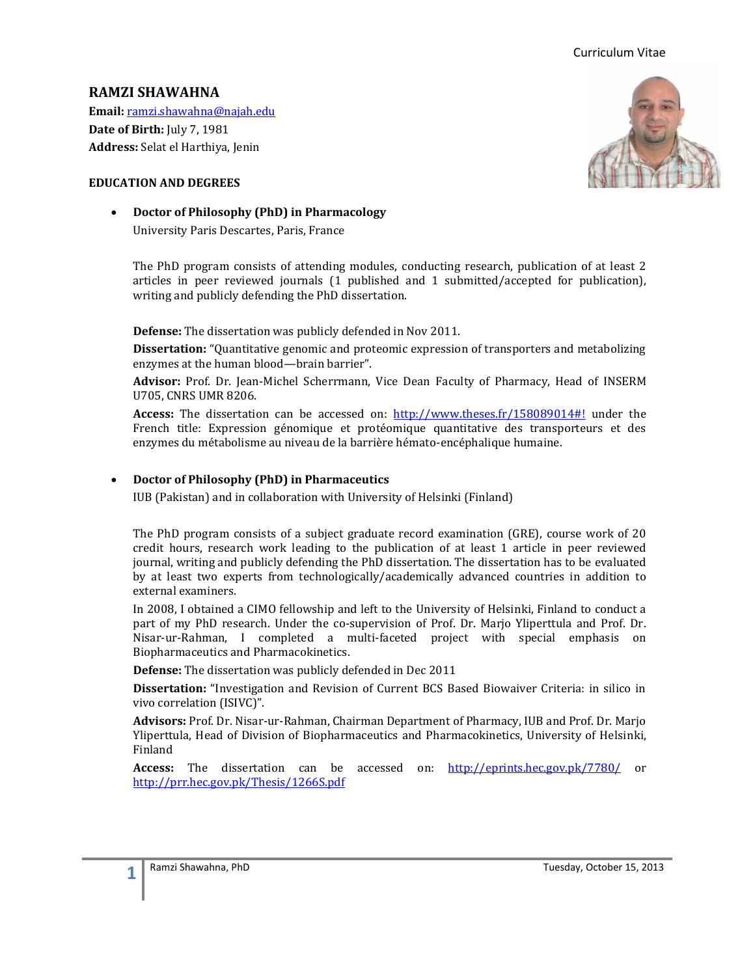# **RAMZI SHAWAHNA**

**Email:** [ramzi.shawahna@najah.edu](mailto:ramzi.shawahna@najah.edu) **Date of Birth:** July 7, 1981 **Address:** Selat el Harthiya, Jenin

### **EDUCATION AND DEGREES**

**Doctor of Philosophy (PhD) in Pharmacology** 

University Paris Descartes, Paris, France

The PhD program consists of attending modules, conducting research, publication of at least 2 articles in peer reviewed journals (1 published and 1 submitted/accepted for publication), writing and publicly defending the PhD dissertation.

**Defense:** The dissertation was publicly defended in Nov 2011.

**Dissertation:** "Quantitative genomic and proteomic expression of transporters and metabolizing enzymes at the human blood—brain barrier".

**Advisor:** Prof. Dr. Jean-Michel Scherrmann, Vice Dean Faculty of Pharmacy, Head of INSERM U705, CNRS UMR 8206.

**Access:** The dissertation can be accessed on: <http://www.theses.fr/158089014#!> under the French title: Expression génomique et protéomique quantitative des transporteurs et des enzymes du métabolisme au niveau de la barrière hémato-encéphalique humaine.

### **Doctor of Philosophy (PhD) in Pharmaceutics**

IUB (Pakistan) and in collaboration with University of Helsinki (Finland)

The PhD program consists of a subject graduate record examination (GRE), course work of 20 credit hours, research work leading to the publication of at least 1 article in peer reviewed journal, writing and publicly defending the PhD dissertation. The dissertation has to be evaluated by at least two experts from technologically/academically advanced countries in addition to external examiners.

In 2008, I obtained a CIMO fellowship and left to the University of Helsinki, Finland to conduct a part of my PhD research. Under the co-supervision of Prof. Dr. Marjo Yliperttula and Prof. Dr. Nisar-ur-Rahman, I completed a multi-faceted project with special emphasis on Biopharmaceutics and Pharmacokinetics.

**Defense:** The dissertation was publicly defended in Dec 2011

**Dissertation:** "Investigation and Revision of Current BCS Based Biowaiver Criteria: in silico in vivo correlation (ISIVC)".

**Advisors:** Prof. Dr. Nisar-ur-Rahman, Chairman Department of Pharmacy, IUB and Prof. Dr. Marjo Yliperttula, Head of Division of Biopharmaceutics and Pharmacokinetics, University of Helsinki, Finland

**Access:** The dissertation can be accessed on: <http://eprints.hec.gov.pk/7780/> or <http://prr.hec.gov.pk/Thesis/1266S.pdf>

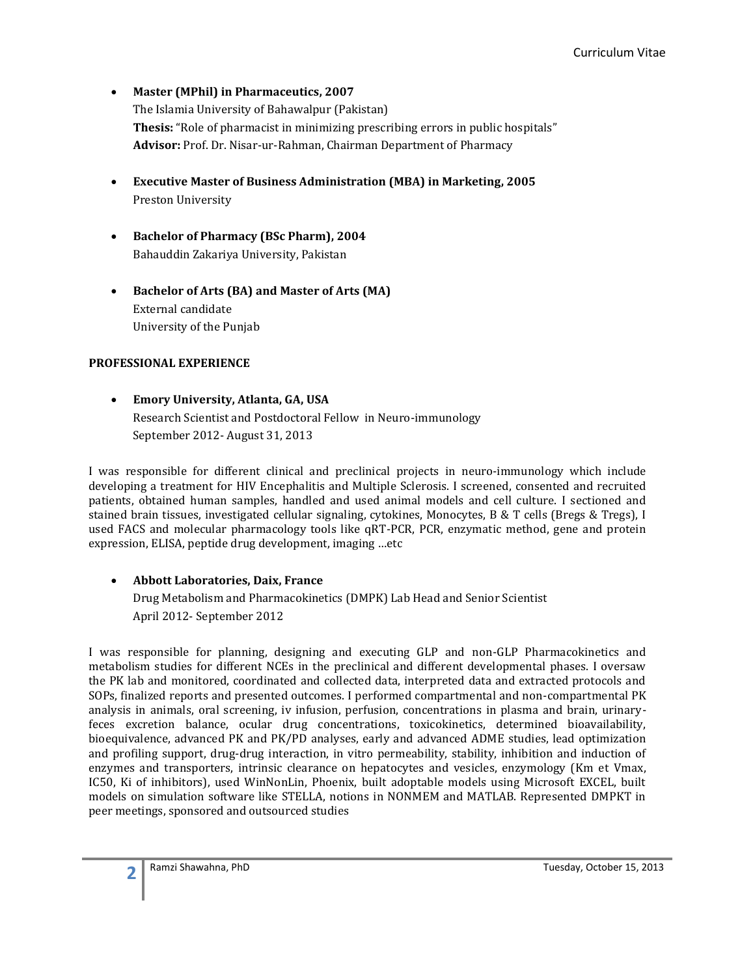- **Master (MPhil) in Pharmaceutics, 2007** The Islamia University of Bahawalpur (Pakistan) **Thesis:** "Role of pharmacist in minimizing prescribing errors in public hospitals" **Advisor:** Prof. Dr. Nisar-ur-Rahman, Chairman Department of Pharmacy
- **Executive Master of Business Administration (MBA) in Marketing, 2005** Preston University
- **Bachelor of Pharmacy (BSc Pharm), 2004** Bahauddin Zakariya University, Pakistan
- **Bachelor of Arts (BA) and Master of Arts (MA)** External candidate University of the Punjab

# **PROFESSIONAL EXPERIENCE**

 **Emory University, Atlanta, GA, USA** Research Scientist and Postdoctoral Fellow in Neuro-immunology September 2012- August 31, 2013

I was responsible for different clinical and preclinical projects in neuro-immunology which include developing a treatment for HIV Encephalitis and Multiple Sclerosis. I screened, consented and recruited patients, obtained human samples, handled and used animal models and cell culture. I sectioned and stained brain tissues, investigated cellular signaling, cytokines, Monocytes, B & T cells (Bregs & Tregs), I used FACS and molecular pharmacology tools like qRT-PCR, PCR, enzymatic method, gene and protein expression, ELISA, peptide drug development, imaging …etc

# **Abbott Laboratories, Daix, France**

Drug Metabolism and Pharmacokinetics (DMPK) Lab Head and Senior Scientist April 2012- September 2012

I was responsible for planning, designing and executing GLP and non-GLP Pharmacokinetics and metabolism studies for different NCEs in the preclinical and different developmental phases. I oversaw the PK lab and monitored, coordinated and collected data, interpreted data and extracted protocols and SOPs, finalized reports and presented outcomes. I performed compartmental and non-compartmental PK analysis in animals, oral screening, iv infusion, perfusion, concentrations in plasma and brain, urinaryfeces excretion balance, ocular drug concentrations, toxicokinetics, determined bioavailability, bioequivalence, advanced PK and PK/PD analyses, early and advanced ADME studies, lead optimization and profiling support, drug-drug interaction, in vitro permeability, stability, inhibition and induction of enzymes and transporters, intrinsic clearance on hepatocytes and vesicles, enzymology (Km et Vmax, IC50, Ki of inhibitors), used WinNonLin, Phoenix, built adoptable models using Microsoft EXCEL, built models on simulation software like STELLA, notions in NONMEM and MATLAB. Represented DMPKT in peer meetings, sponsored and outsourced studies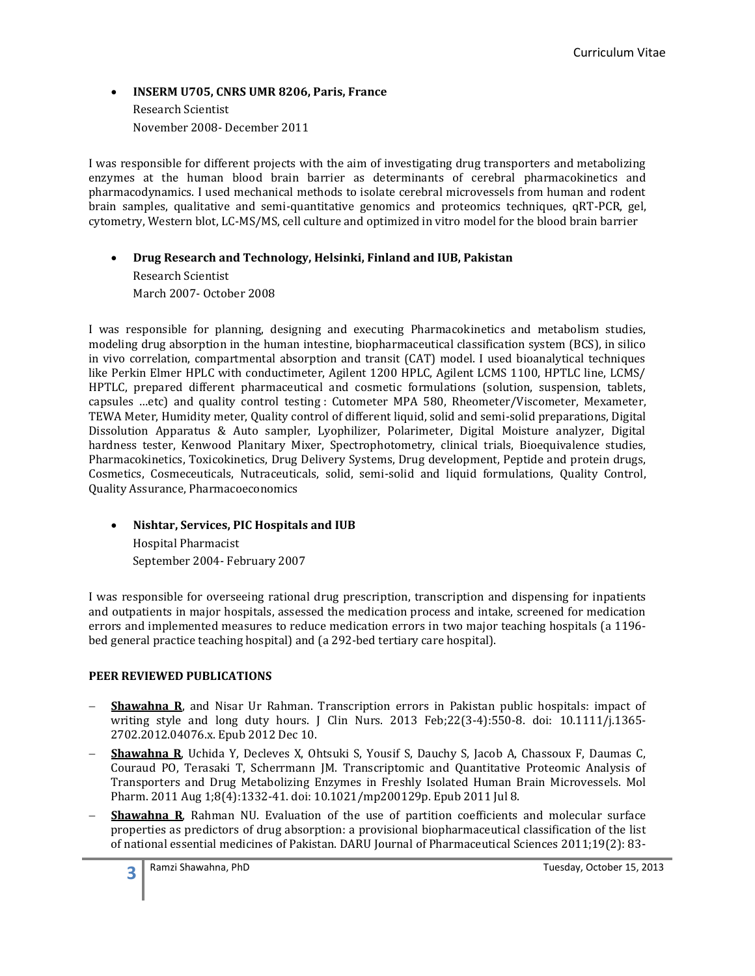### **INSERM U705, CNRS UMR 8206, Paris, France** Research Scientist

November 2008- December 2011

I was responsible for different projects with the aim of investigating drug transporters and metabolizing enzymes at the human blood brain barrier as determinants of cerebral pharmacokinetics and pharmacodynamics. I used mechanical methods to isolate cerebral microvessels from human and rodent brain samples, qualitative and semi-quantitative genomics and proteomics techniques, qRT-PCR, gel, cytometry, Western blot, LC-MS/MS, cell culture and optimized in vitro model for the blood brain barrier

## **Drug Research and Technology, Helsinki, Finland and IUB, Pakistan**

Research Scientist March 2007- October 2008

I was responsible for planning, designing and executing Pharmacokinetics and metabolism studies, modeling drug absorption in the human intestine, biopharmaceutical classification system (BCS), in silico in vivo correlation, compartmental absorption and transit (CAT) model. I used bioanalytical techniques like Perkin Elmer HPLC with conductimeter, Agilent 1200 HPLC, Agilent LCMS 1100, HPTLC line, LCMS/ HPTLC, prepared different pharmaceutical and cosmetic formulations (solution, suspension, tablets, capsules …etc) and quality control testing : Cutometer MPA 580, Rheometer/Viscometer, Mexameter, TEWA Meter, Humidity meter, Quality control of different liquid, solid and semi-solid preparations, Digital Dissolution Apparatus & Auto sampler, Lyophilizer, Polarimeter, Digital Moisture analyzer, Digital hardness tester, Kenwood Planitary Mixer, Spectrophotometry, clinical trials, Bioequivalence studies, Pharmacokinetics, Toxicokinetics, Drug Delivery Systems, Drug development, Peptide and protein drugs, Cosmetics, Cosmeceuticals, Nutraceuticals, solid, semi-solid and liquid formulations, Quality Control, Quality Assurance, Pharmacoeconomics

# **Nishtar, Services, PIC Hospitals and IUB**

Hospital Pharmacist September 2004- February 2007

I was responsible for overseeing rational drug prescription, transcription and dispensing for inpatients and outpatients in major hospitals, assessed the medication process and intake, screened for medication errors and implemented measures to reduce medication errors in two major teaching hospitals (a 1196 bed general practice teaching hospital) and (a 292-bed tertiary care hospital).

## **PEER REVIEWED PUBLICATIONS**

- **Shawahna R**, and Nisar Ur Rahman. Transcription errors in Pakistan public hospitals: impact of writing style and long duty hours. J Clin Nurs. 2013 Feb;22(3-4):550-8. doi: 10.1111/j.1365- 2702.2012.04076.x. Epub 2012 Dec 10.
- **Shawahna R**, Uchida Y, Decleves X, Ohtsuki S, Yousif S, Dauchy S, Jacob A, Chassoux F, Daumas C, Couraud PO, Terasaki T, Scherrmann JM. Transcriptomic and Quantitative Proteomic Analysis of Transporters and Drug Metabolizing Enzymes in Freshly Isolated Human Brain Microvessels. Mol Pharm. 2011 Aug 1;8(4):1332-41. doi: 10.1021/mp200129p. Epub 2011 Jul 8.
- **Shawahna R**, Rahman NU. Evaluation of the use of partition coefficients and molecular surface properties as predictors of drug absorption: a provisional biopharmaceutical classification of the list of national essential medicines of Pakistan. DARU Journal of Pharmaceutical Sciences 2011;19(2): 83-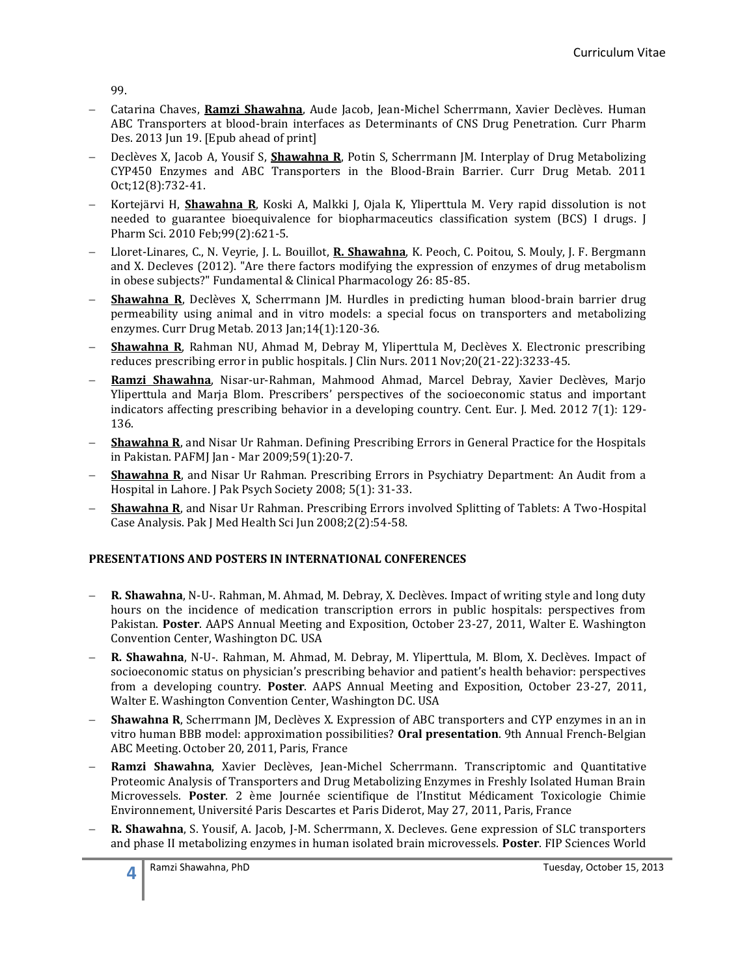99.

- Catarina Chaves, **Ramzi Shawahna**, Aude Jacob, Jean-Michel Scherrmann, Xavier Declèves. Human ABC Transporters at blood-brain interfaces as Determinants of CNS Drug Penetration. Curr Pharm Des. 2013 Jun 19. [Epub ahead of print]
- Declèves X, Jacob A, Yousif S, **Shawahna R**, Potin S, Scherrmann JM. Interplay of Drug Metabolizing CYP450 Enzymes and ABC Transporters in the Blood-Brain Barrier. Curr Drug Metab. 2011 Oct;12(8):732-41.
- Kortejärvi H, **Shawahna R**, Koski A, Malkki J, Ojala K, Yliperttula M. Very rapid dissolution is not needed to guarantee bioequivalence for biopharmaceutics classification system (BCS) I drugs. J Pharm Sci. 2010 Feb;99(2):621-5.
- Lloret-Linares, C., N. Veyrie, J. L. Bouillot, **R. Shawahna**, K. Peoch, C. Poitou, S. Mouly, J. F. Bergmann and X. Decleves (2012). "Are there factors modifying the expression of enzymes of drug metabolism in obese subjects?" Fundamental & Clinical Pharmacology 26: 85-85.
- **Shawahna R**, Declèves X, Scherrmann JM. Hurdles in predicting human blood-brain barrier drug permeability using animal and in vitro models: a special focus on transporters and metabolizing enzymes. Curr Drug Metab. 2013 Jan;14(1):120-36.
- **Shawahna R**, Rahman NU, Ahmad M, Debray M, Yliperttula M, Declèves X. Electronic prescribing reduces prescribing error in public hospitals. J Clin Nurs. 2011 Nov;20(21-22):3233-45.
- **Ramzi Shawahna**, Nisar-ur-Rahman, Mahmood Ahmad, Marcel Debray, Xavier Declèves, Marjo Yliperttula and Marja Blom. Prescribers' perspectives of the socioeconomic status and important indicators affecting prescribing behavior in a developing country. Cent. Eur. J. Med. 2012 7(1): 129- 136.
- **Shawahna R**, and Nisar Ur Rahman. Defining Prescribing Errors in General Practice for the Hospitals in Pakistan. PAFMJ Jan - Mar 2009;59(1):20-7.
- **Shawahna R**, and Nisar Ur Rahman. Prescribing Errors in Psychiatry Department: An Audit from a Hospital in Lahore. J Pak Psych Society 2008; 5(1): 31-33.
- **Shawahna R**, and Nisar Ur Rahman. Prescribing Errors involved Splitting of Tablets: A Two-Hospital Case Analysis. Pak J Med Health Sci Jun 2008;2(2):54-58.

## **PRESENTATIONS AND POSTERS IN INTERNATIONAL CONFERENCES**

- **R. Shawahna**, N-U-. Rahman, M. Ahmad, M. Debray, X. Declèves. Impact of writing style and long duty hours on the incidence of medication transcription errors in public hospitals: perspectives from Pakistan. **Poster**. AAPS Annual Meeting and Exposition, October 23-27, 2011, Walter E. Washington Convention Center, Washington DC. USA
- **R. Shawahna**, N-U-. Rahman, M. Ahmad, M. Debray, M. Yliperttula, M. Blom, X. Declèves. Impact of socioeconomic status on physician's prescribing behavior and patient's health behavior: perspectives from a developing country. **Poster**. AAPS Annual Meeting and Exposition, October 23-27, 2011, Walter E. Washington Convention Center, Washington DC. USA
- **Shawahna R**, Scherrmann JM, Declèves X. Expression of ABC transporters and CYP enzymes in an in vitro human BBB model: approximation possibilities? **Oral presentation**. 9th Annual French-Belgian ABC Meeting. October 20, 2011, Paris, France
- **Ramzi Shawahna**, Xavier Declèves, Jean-Michel Scherrmann. Transcriptomic and Quantitative Proteomic Analysis of Transporters and Drug Metabolizing Enzymes in Freshly Isolated Human Brain Microvessels. **Poster**. 2 ème Journée scientifique de l'Institut Médicament Toxicologie Chimie Environnement, Université Paris Descartes et Paris Diderot, May 27, 2011, Paris, France
- **R. Shawahna**, S. Yousif, A. Jacob, J-M. Scherrmann, X. Decleves. Gene expression of SLC transporters and phase II metabolizing enzymes in human isolated brain microvessels. **Poster**. FIP Sciences World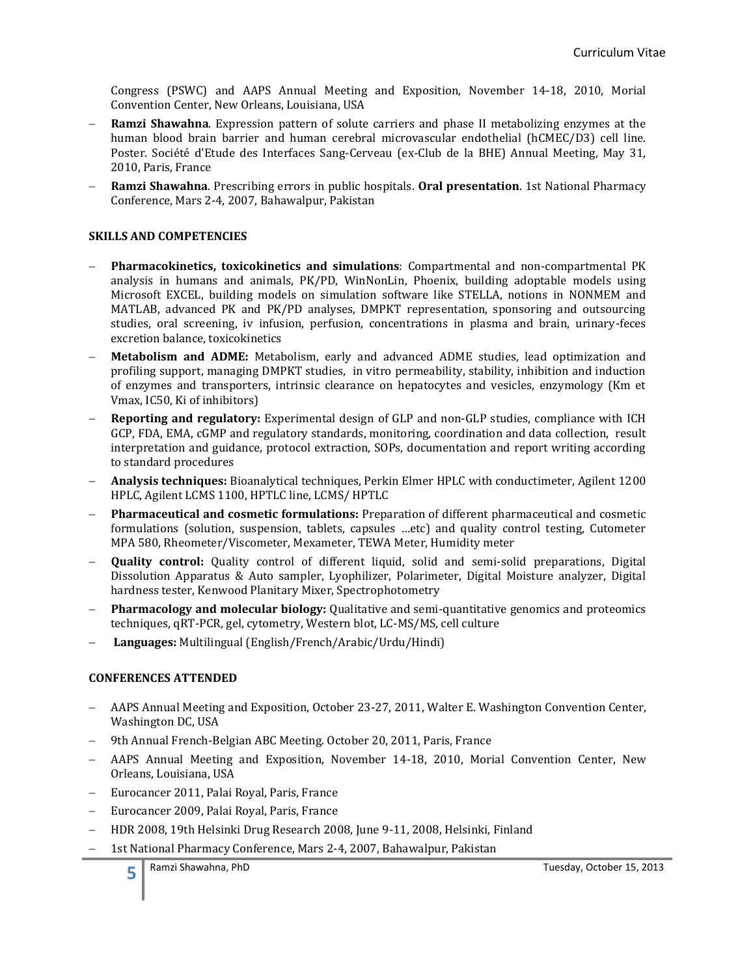Congress (PSWC) and AAPS Annual Meeting and Exposition, November 14-18, 2010, Morial Convention Center, New Orleans, Louisiana, USA

- **Ramzi Shawahna**. Expression pattern of solute carriers and phase II metabolizing enzymes at the human blood brain barrier and human cerebral microvascular endothelial (hCMEC/D3) cell line. Poster. Société d'Etude des Interfaces Sang-Cerveau (ex-Club de la BHE) Annual Meeting, May 31, 2010, Paris, France
- **Ramzi Shawahna**. Prescribing errors in public hospitals. **Oral presentation**. 1st National Pharmacy Conference, Mars 2-4, 2007, Bahawalpur, Pakistan

### **SKILLS AND COMPETENCIES**

- **Pharmacokinetics, toxicokinetics and simulations**: Compartmental and non-compartmental PK analysis in humans and animals, PK/PD, WinNonLin, Phoenix, building adoptable models using Microsoft EXCEL, building models on simulation software like STELLA, notions in NONMEM and MATLAB, advanced PK and PK/PD analyses, DMPKT representation, sponsoring and outsourcing studies, oral screening, iv infusion, perfusion, concentrations in plasma and brain, urinary-feces excretion balance, toxicokinetics
- **Metabolism and ADME:** Metabolism, early and advanced ADME studies, lead optimization and profiling support, managing DMPKT studies, in vitro permeability, stability, inhibition and induction of enzymes and transporters, intrinsic clearance on hepatocytes and vesicles, enzymology (Km et Vmax, IC50, Ki of inhibitors)
- **Reporting and regulatory:** Experimental design of GLP and non-GLP studies, compliance with ICH GCP, FDA, EMA, cGMP and regulatory standards, monitoring, coordination and data collection, result interpretation and guidance, protocol extraction, SOPs, documentation and report writing according to standard procedures
- **Analysis techniques:** Bioanalytical techniques, Perkin Elmer HPLC with conductimeter, Agilent 1200 HPLC, Agilent LCMS 1100, HPTLC line, LCMS/ HPTLC
- **Pharmaceutical and cosmetic formulations:** Preparation of different pharmaceutical and cosmetic formulations (solution, suspension, tablets, capsules …etc) and quality control testing, Cutometer MPA 580, Rheometer/Viscometer, Mexameter, TEWA Meter, Humidity meter
- **Quality control:** Quality control of different liquid, solid and semi-solid preparations, Digital Dissolution Apparatus & Auto sampler, Lyophilizer, Polarimeter, Digital Moisture analyzer, Digital hardness tester, Kenwood Planitary Mixer, Spectrophotometry
- **Pharmacology and molecular biology:** Qualitative and semi-quantitative genomics and proteomics techniques, qRT-PCR, gel, cytometry, Western blot, LC-MS/MS, cell culture
- **Languages:** Multilingual (English/French/Arabic/Urdu/Hindi)

#### **CONFERENCES ATTENDED**

- AAPS Annual Meeting and Exposition, October 23-27, 2011, Walter E. Washington Convention Center, Washington DC, USA
- 9th Annual French-Belgian ABC Meeting. October 20, 2011, Paris, France
- AAPS Annual Meeting and Exposition, November 14-18, 2010, Morial Convention Center, New Orleans, Louisiana, USA
- Eurocancer 2011, Palai Royal, Paris, France
- Eurocancer 2009, Palai Royal, Paris, France
- HDR 2008, 19th Helsinki Drug Research 2008, June 9-11, 2008, Helsinki, Finland
- 1st National Pharmacy Conference, Mars 2-4, 2007, Bahawalpur, Pakistan